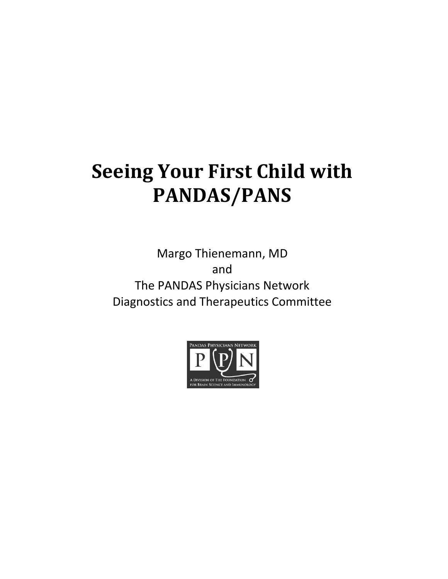Margo Thienemann, MD and The PANDAS Physicians Network Diagnostics and Therapeutics Committee

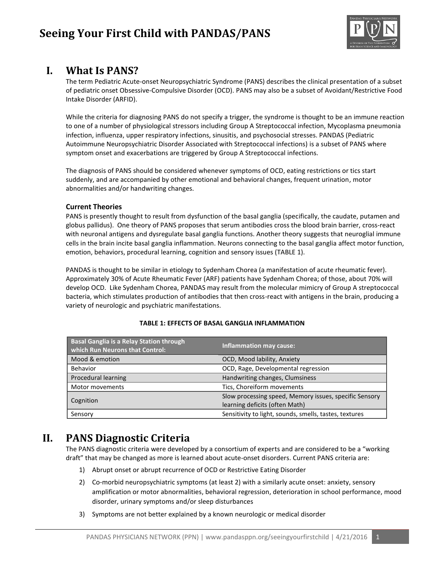

### **I. What Is PANS?**

The term Pediatric Acute-onset Neuropsychiatric Syndrome (PANS) describes the clinical presentation of a subset of pediatric onset Obsessive-Compulsive Disorder (OCD). PANS may also be a subset of Avoidant/Restrictive Food Intake Disorder (ARFID).

While the criteria for diagnosing PANS do not specify a trigger, the syndrome is thought to be an immune reaction to one of a number of physiological stressors including Group A Streptococcal infection, Mycoplasma pneumonia infection, influenza, upper respiratory infections, sinusitis, and psychosocial stresses. PANDAS (Pediatric Autoimmune Neuropsychiatric Disorder Associated with Streptococcal infections) is a subset of PANS where symptom onset and exacerbations are triggered by Group A Streptococcal infections.

The diagnosis of PANS should be considered whenever symptoms of OCD, eating restrictions or tics start suddenly, and are accompanied by other emotional and behavioral changes, frequent urination, motor abnormalities and/or handwriting changes.

#### **Current Theories**

PANS is presently thought to result from dysfunction of the basal ganglia (specifically, the caudate, putamen and globus pallidus). One theory of PANS proposes that serum antibodies cross the blood brain barrier, cross-react with neuronal antigens and dysregulate basal ganglia functions. Another theory suggests that neuroglial immune cells in the brain incite basal ganglia inflammation. Neurons connecting to the basal ganglia affect motor function, emotion, behaviors, procedural learning, cognition and sensory issues (TABLE 1).

PANDAS is thought to be similar in etiology to Sydenham Chorea (a manifestation of acute rheumatic fever). Approximately 30% of Acute Rheumatic Fever (ARF) patients have Sydenham Chorea; of those, about 70% will develop OCD. Like Sydenham Chorea, PANDAS may result from the molecular mimicry of Group A streptococcal bacteria, which stimulates production of antibodies that then cross-react with antigens in the brain, producing a variety of neurologic and psychiatric manifestations.

| <b>Basal Ganglia is a Relay Station through</b><br>which Run Neurons that Control: | <b>Inflammation may cause:</b>                                                           |
|------------------------------------------------------------------------------------|------------------------------------------------------------------------------------------|
| Mood & emotion                                                                     | OCD, Mood lability, Anxiety                                                              |
| Behavior                                                                           | OCD, Rage, Developmental regression                                                      |
| <b>Procedural learning</b>                                                         | Handwriting changes, Clumsiness                                                          |
| Motor movements                                                                    | Tics, Choreiform movements                                                               |
| Cognition                                                                          | Slow processing speed, Memory issues, specific Sensory<br>learning deficits (often Math) |
| Sensory                                                                            | Sensitivity to light, sounds, smells, tastes, textures                                   |

#### **TABLE 1: EFFECTS OF BASAL GANGLIA INFLAMMATION**

### **II. PANS Diagnostic Criteria**

The PANS diagnostic criteria were developed by a consortium of experts and are considered to be a "working draft" that may be changed as more is learned about acute-onset disorders. Current PANS criteria are:

- 1) Abrupt onset or abrupt recurrence of OCD or Restrictive Eating Disorder
- 2) Co-morbid neuropsychiatric symptoms (at least 2) with a similarly acute onset: anxiety, sensory amplification or motor abnormalities, behavioral regression, deterioration in school performance, mood disorder, urinary symptoms and/or sleep disturbances
- 3) Symptoms are not better explained by a known neurologic or medical disorder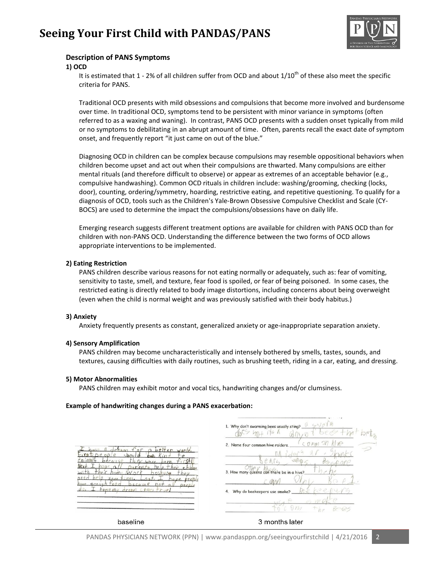

#### **Description of PANS Symptoms**

#### **1) OCD**

It is estimated that 1 - 2% of all children suffer from OCD and about  $1/10^{th}$  of these also meet the specific criteria for PANS.

Traditional OCD presents with mild obsessions and compulsions that become more involved and burdensome over time. In traditional OCD, symptoms tend to be persistent with minor variance in symptoms (often referred to as a waxing and waning). In contrast, PANS OCD presents with a sudden onset typically from mild or no symptoms to debilitating in an abrupt amount of time. Often, parents recall the exact date of symptom onset, and frequently report "it just came on out of the blue."

Diagnosing OCD in children can be complex because compulsions may resemble oppositional behaviors when children become upset and act out when their compulsions are thwarted. Many compulsions are either mental rituals (and therefore difficult to observe) or appear as extremes of an acceptable behavior (e.g., compulsive handwashing). Common OCD rituals in children include: washing/grooming, checking (locks, door), counting, ordering/symmetry, hoarding, restrictive eating, and repetitive questioning. To qualify for a diagnosis of OCD, tools such as the Children's Yale-Brown Obsessive Compulsive Checklist and Scale (CY-BOCS) are used to determine the impact the compulsions/obsessions have on daily life.

Emerging research suggests different treatment options are available for children with PANS OCD than for children with non-PANS OCD. Understanding the difference between the two forms of OCD allows appropriate interventions to be implemented.

#### **2) Eating Restriction**

PANS children describe various reasons for not eating normally or adequately, such as: fear of vomiting, sensitivity to taste, smell, and texture, fear food is spoiled, or fear of being poisoned. In some cases, the restricted eating is directly related to body image distortions, including concerns about being overweight (even when the child is normal weight and was previously satisfied with their body habitus.)

#### **3) Anxiety**

Anxiety frequently presents as constant, generalized anxiety or age-inappropriate separation anxiety.

#### **4) Sensory Amplification**

PANS children may become uncharacteristically and intensely bothered by smells, tastes, sounds, and textures, causing difficulties with daily routines, such as brushing teeth, riding in a car, eating, and dressing.

#### **5) Motor Abnormalities**

PANS children may exhibit motor and vocal tics, handwriting changes and/or clumsiness.

**Example of handwriting changes during a PANS exacerbation:**

| better world,<br>for<br>$-F155D200$<br>Ano<br>$\kappa$ , n<br>nnm<br>$b$ ernuse<br>$W$ ere<br>here<br>Vex<br>$D$ arents<br>he/e<br>Then<br>children<br>with<br>Mor<br>OtCAUS <sub>0</sub><br><b>boy</b><br>need<br>heb<br>$S$ one<br>1.0105<br>hope people<br>lave enough tood<br>because<br>not<br>$\alpha$<br>000D4<br>home my dream comes thing | 51/151/h<br>1. Why don't swarming bees usually sting?<br>$-0.6$<br>CDMM<br>2. Name four common hive raiders.<br>PA<br>3. How many queens can there be in a hive?<br>Why do beekeepers use smoke?<br>4.<br>8m |
|----------------------------------------------------------------------------------------------------------------------------------------------------------------------------------------------------------------------------------------------------------------------------------------------------------------------------------------------------|--------------------------------------------------------------------------------------------------------------------------------------------------------------------------------------------------------------|
| baseline                                                                                                                                                                                                                                                                                                                                           | 3 months later                                                                                                                                                                                               |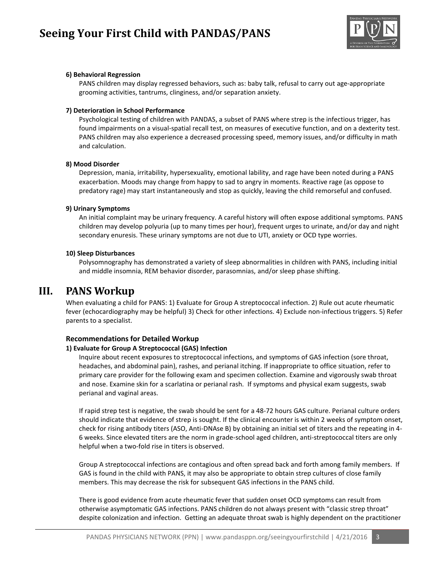

#### **6) Behavioral Regression**

PANS children may display regressed behaviors, such as: baby talk, refusal to carry out age-appropriate grooming activities, tantrums, clinginess, and/or separation anxiety.

#### **7) Deterioration in School Performance**

Psychological testing of children with PANDAS, a subset of PANS where strep is the infectious trigger, has found impairments on a visual-spatial recall test, on measures of executive function, and on a dexterity test. PANS children may also experience a decreased processing speed, memory issues, and/or difficulty in math and calculation.

#### **8) Mood Disorder**

Depression, mania, irritability, hypersexuality, emotional lability, and rage have been noted during a PANS exacerbation. Moods may change from happy to sad to angry in moments. Reactive rage (as oppose to predatory rage) may start instantaneously and stop as quickly, leaving the child remorseful and confused.

#### **9) Urinary Symptoms**

An initial complaint may be urinary frequency. A careful history will often expose additional symptoms. PANS children may develop polyuria (up to many times per hour), frequent urges to urinate, and/or day and night secondary enuresis. These urinary symptoms are not due to UTI, anxiety or OCD type worries.

#### **10) Sleep Disturbances**

Polysomnography has demonstrated a variety of sleep abnormalities in children with PANS, including initial and middle insomnia, REM behavior disorder, parasomnias, and/or sleep phase shifting.

### **III. PANS Workup**

When evaluating a child for PANS: 1) Evaluate for Group A streptococcal infection. 2) Rule out acute rheumatic fever (echocardiography may be helpful) 3) Check for other infections. 4) Exclude non-infectious triggers. 5) Refer parents to a specialist.

#### **Recommendations for Detailed Workup**

#### **1) Evaluate for Group A Streptococcal (GAS) Infection**

Inquire about recent exposures to streptococcal infections, and symptoms of GAS infection (sore throat, headaches, and abdominal pain), rashes, and perianal itching. If inappropriate to office situation, refer to primary care provider for the following exam and specimen collection. Examine and vigorously swab throat and nose. Examine skin for a scarlatina or perianal rash. If symptoms and physical exam suggests, swab perianal and vaginal areas.

If rapid strep test is negative, the swab should be sent for a 48-72 hours GAS culture. Perianal culture orders should indicate that evidence of strep is sought. If the clinical encounter is within 2 weeks of symptom onset, check for rising antibody titers (ASO, Anti-DNAse B) by obtaining an initial set of titers and the repeating in 4- 6 weeks. Since elevated titers are the norm in grade-school aged children, anti-streptococcal titers are only helpful when a two-fold rise in titers is observed.

Group A streptococcal infections are contagious and often spread back and forth among family members. If GAS is found in the child with PANS, it may also be appropriate to obtain strep cultures of close family members. This may decrease the risk for subsequent GAS infections in the PANS child.

There is good evidence from acute rheumatic fever that sudden onset OCD symptoms can result from otherwise asymptomatic GAS infections. PANS children do not always present with "classic strep throat" despite colonization and infection. Getting an adequate throat swab is highly dependent on the practitioner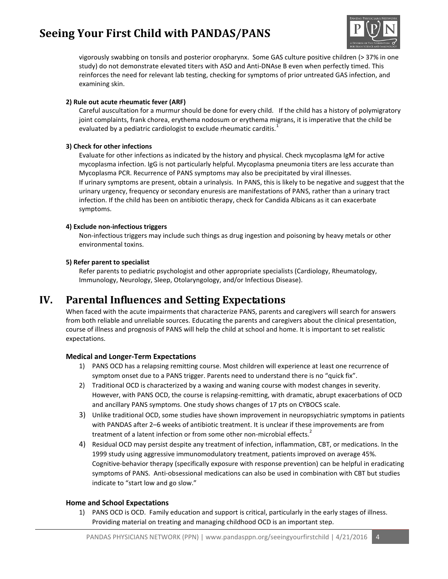

vigorously swabbing on tonsils and posterior oropharynx. Some GAS culture positive children (> 37% in one study) do not demonstrate elevated titers with ASO and Anti-DNAse B even when perfectly timed. This reinforces the need for relevant lab testing, checking for symptoms of prior untreated GAS infection, and examining skin.

#### **2) Rule out acute rheumatic fever (ARF)**

Careful auscultation for a murmur should be done for every child. If the child has a history of polymigratory joint complaints, frank chorea, erythema nodosum or erythema migrans, it is imperative that the child be evaluated by a pediatric cardiologist to exclude rheumatic carditis.<sup>1</sup>

#### **3) Check for other infections**

Evaluate for other infections as indicated by the history and physical. Check mycoplasma IgM for active mycoplasma infection. IgG is not particularly helpful. Mycoplasma pneumonia titers are less accurate than Mycoplasma PCR. Recurrence of PANS symptoms may also be precipitated by viral illnesses. If urinary symptoms are present, obtain a urinalysis. In PANS, this is likely to be negative and suggest that the urinary urgency, frequency or secondary enuresis are manifestations of PANS, rather than a urinary tract infection. If the child has been on antibiotic therapy, check for Candida Albicans as it can exacerbate symptoms.

#### **4) Exclude non-infectious triggers**

Non-infectious triggers may include such things as drug ingestion and poisoning by heavy metals or other environmental toxins.

#### **5) Refer parent to specialist**

Refer parents to pediatric psychologist and other appropriate specialists (Cardiology, Rheumatology, Immunology, Neurology, Sleep, Otolaryngology, and/or Infectious Disease).

### **IV. Parental Influences and Setting Expectations**

When faced with the acute impairments that characterize PANS, parents and caregivers will search for answers from both reliable and unreliable sources. Educating the parents and caregivers about the clinical presentation, course of illness and prognosis of PANS will help the child at school and home. It is important to set realistic expectations.

#### **Medical and Longer-Term Expectations**

- 1) PANS OCD has a relapsing remitting course. Most children will experience at least one recurrence of symptom onset due to a PANS trigger. Parents need to understand there is no "quick fix".
- 2) Traditional OCD is characterized by a waxing and waning course with modest changes in severity. However, with PANS OCD, the course is relapsing-remitting, with dramatic, abrupt exacerbations of OCD and ancillary PANS symptoms. One study shows changes of 17 pts on CYBOCS scale.
- 3) Unlike traditional OCD, some studies have shown improvement in neuropsychiatric symptoms in patients with PANDAS after 2–6 weeks of antibiotic treatment. It is unclear if these improvements are from treatment of a latent infection or from some other non-microbial effects. $2$
- 4) Residual OCD may persist despite any treatment of infection, inflammation, CBT, or medications. In the 1999 study using aggressive immunomodulatory treatment, patients improved on average 45%. Cognitive-behavior therapy (specifically exposure with response prevention) can be helpful in eradicating symptoms of PANS. Anti-obsessional medications can also be used in combination with CBT but studies indicate to "start low and go slow."

#### **Home and School Expectations**

1) PANS OCD is OCD. Family education and support is critical, particularly in the early stages of illness. Providing material on treating and managing childhood OCD is an important step.